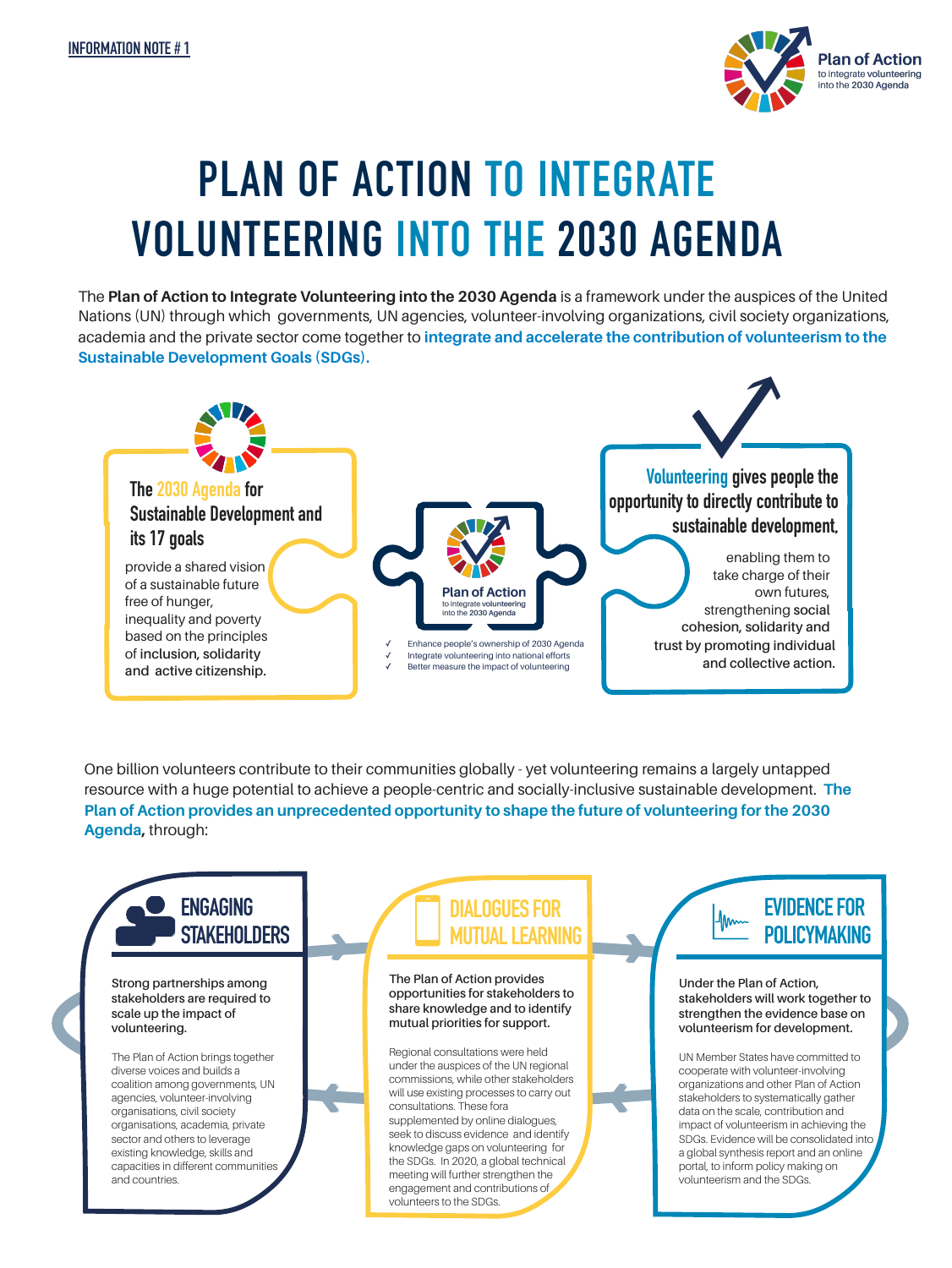

# **PLAN OF ACTION TO INTEGRATE VOLUNTEERING INTO THE 2030 AGENDA**

The **Plan of Action to Integrate Volunteering into the 2030 Agenda** is a framework under the auspices of the United Nations (UN) through which governments, UN agencies, volunteer-involving organizations, civil society organizations, academia and the private sector come together to **integrate and accelerate the contribution of volunteerism to the Sustainable Development Goals (SDGs).** 



One billion volunteers contribute to their communities globally - yet volunteering remains a largely untapped resource with a huge potential to achieve a people-centric and socially-inclusive sustainable development. **The Plan of Action provides an unprecedented opportunity to shape the future of volunteering for the 2030 Agenda,** through:

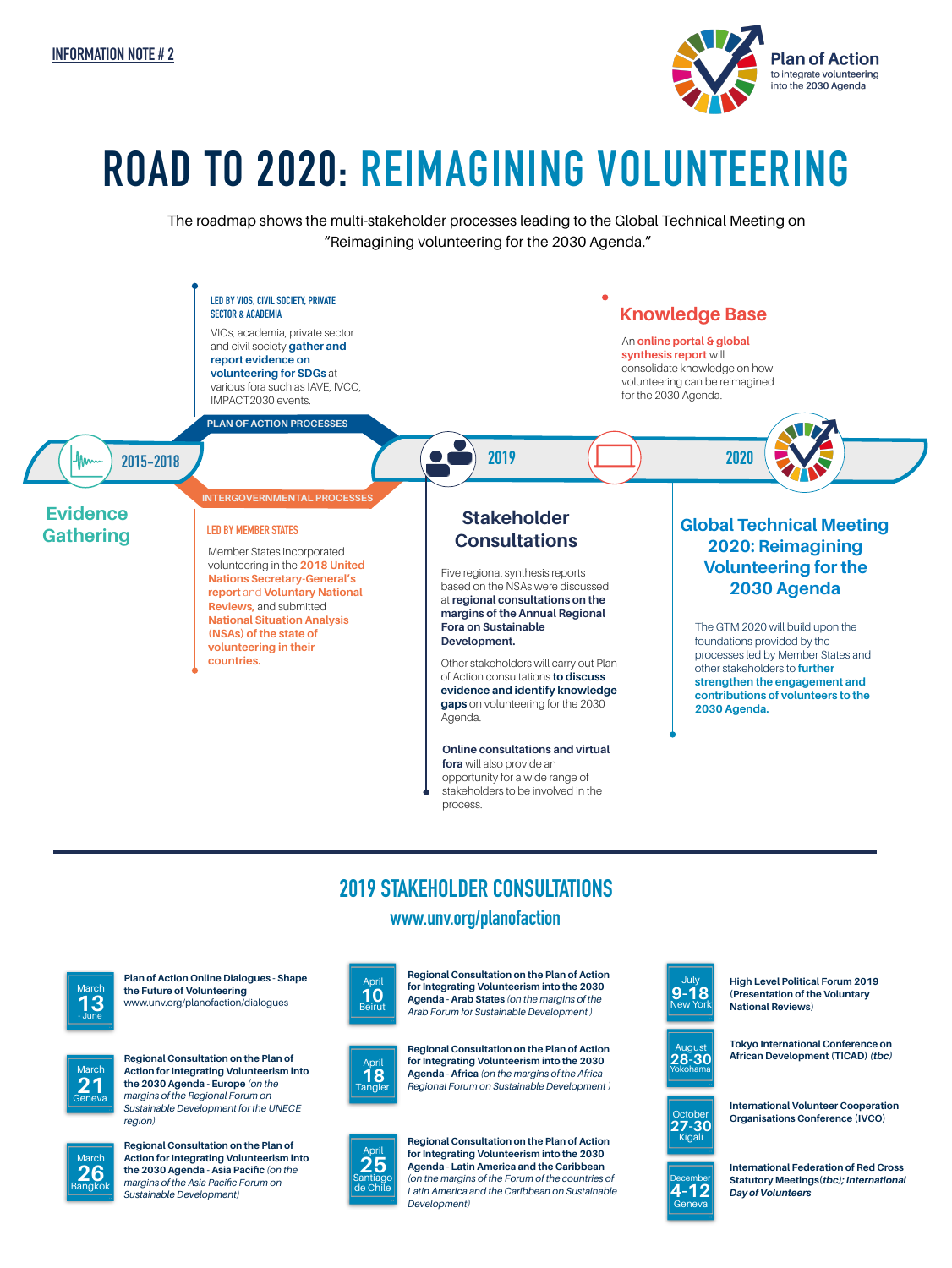

## **ROAD TO 2020: REIMAGINING VOLUNTEERING**

The roadmap shows the multi-stakeholder processes leading to the Global Technical Meeting on "Reimagining volunteering for the 2030 Agenda."



#### **2019 STAKEHOLDER CONSULTATIONS www.unv.org/planofaction**



**Plan of Action Online Dialogues - Shape the Future of Volunteering** [www.unv.org/planofaction/dialogues](http://www.unv.org/planofaction/dialogues)



**Regional Consultation on the Plan of Action for Integrating Volunteerism into the 2030 Agenda - Europe** *(on the margins of the Regional Forum on Sustainable Development for the UNECE region)*



**Regional Consultation on the Plan of Action for Integrating Volunteerism into the 2030 Agenda - Asia Pacific** *(on the margins of the Asia Pacific Forum on Sustainable Development)* 



**Regional Consultation on the Plan of Action for Integrating Volunteerism into the 2030 Agenda - Arab States** *(on the margins of the Arab Forum for Sustainable Development )* 

**Regional Consultation on the Plan of Action for Integrating Volunteerism into the 2030 Agenda - Africa** *(on the margins of the Africa Regional Forum on Sustainable Development )* April **18**  Tangier



**Regional Consultation on the Plan of Action for Integrating Volunteerism into the 2030 Agenda - Latin America and the Caribbean** *(on the margins of the Forum of the countries of Latin America and the Caribbean on Sustainable Development)*



**High Level Political Forum 2019 (Presentation of the Voluntary National Reviews)** 

August **28-30**  Yokohama

**Tokyo International Conference on African Development (TICAD)** *(tbc)*



**International Volunteer Cooperation Organisations Conference (IVCO)**



**International Federation of Red Cross Statutory Meetings(***tbc); International Day of Volunteers*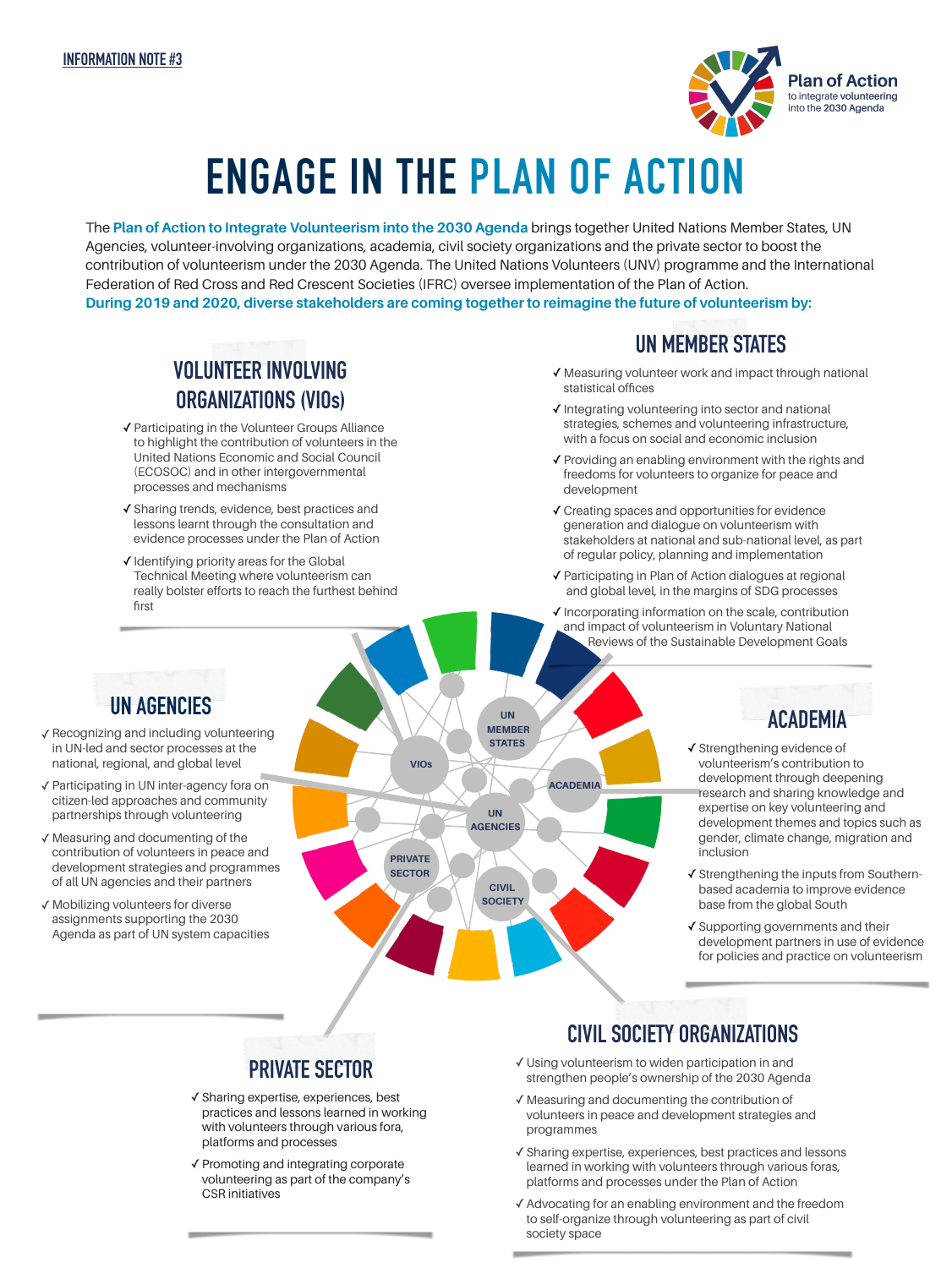

# **ENGAGE IN THE PLAN OF ACTION**

The **Plan of Action to Integrate Volunteerism into the 2030 Agenda** brings together United Nations Member States, UN Agencies, volunteer-involving organizations, academia, civil society organizations and the private sector to boost the contribution of volunteerism under the 2030 Agenda. The United Nations Volunteers (UNV) programme and the International Federation of Red Cross and Red Crescent Societies (IFRC) oversee implementation of the Plan of Action. **During 2019 and 2020, diverse stakeholders are coming together to reimagine the future of volunteerism by:** 

#### **UN MEMBER STATES**

- ✓Measuring volunteer work and impact through national statistical offices
- ✓Integrating volunteering into sector and national strategies, schemes and volunteering infrastructure, with a focus on social and economic inclusion
- ✓Providing an enabling environment with the rights and freedoms for volunteers to organize for peace and development
- ✓Creating spaces and opportunities for evidence generation and dialogue on volunteerism with stakeholders at national and sub-national level, as part of regular policy, planning and implementation
- ✓Participating in Plan of Action dialogues at regional and global level, in the margins of SDG processes
- ✓Incorporating information on the scale, contribution and impact of volunteerism in Voluntary National Reviews of the Sustainable Development Goals

#### **UN AGENCIES**

first

**VOLUNTEER INVOLVING** 

**ORGANIZATIONS (VIOs)** 

✓Participating in the Volunteer Groups Alliance to highlight the contribution of volunteers in the United Nations Economic and Social Council (ECOSOC) and in other intergovernmental

✓Sharing trends, evidence, best practices and lessons learnt through the consultation and evidence processes under the Plan of Action

✓Identifying priority areas for the Global Technical Meeting where volunteerism can really bolster efforts to reach the furthest behind

processes and mechanisms

- ✓Recognizing and including volunteering in UN-led and sector processes at the national, regional, and global level
- ✓Participating in UN inter-agency fora on citizen-led approaches and community partnerships through volunteering
- ✓Measuring and documenting of the contribution of volunteers in peace and development strategies and programmes of all UN agencies and their partners
- ✓Mobilizing volunteers for diverse assignments supporting the 2030 Agenda as part of UN system capacities



### **ACADEMIA**

- ✓Strengthening evidence of volunteerism's contribution to development through deepening research and sharing knowledge and expertise on key volunteering and development themes and topics such as gender, climate change, migration and inclusion
- ✓Strengthening the inputs from Southernbased academia to improve evidence base from the global South
- ✓Supporting governments and their development partners in use of evidence for policies and practice on volunteerism

#### **PRIVATE SECTOR**

- ✓Sharing expertise, experiences, best practices and lessons learned in working with volunteers through various fora, platforms and processes
- ✓Promoting and integrating corporate volunteering as part of the company's CSR initiatives

#### **CIVIL SOCIETY ORGANIZATIONS**

- ✓Using volunteerism to widen participation in and strengthen people's ownership of the 2030 Agenda
- ✓Measuring and documenting the contribution of volunteers in peace and development strategies and programmes
- ✓Sharing expertise, experiences, best practices and lessons learned in working with volunteers through various foras, platforms and processes under the Plan of Action
- ✓Advocating for an enabling environment and the freedom to self-organize through volunteering as part of civil society space